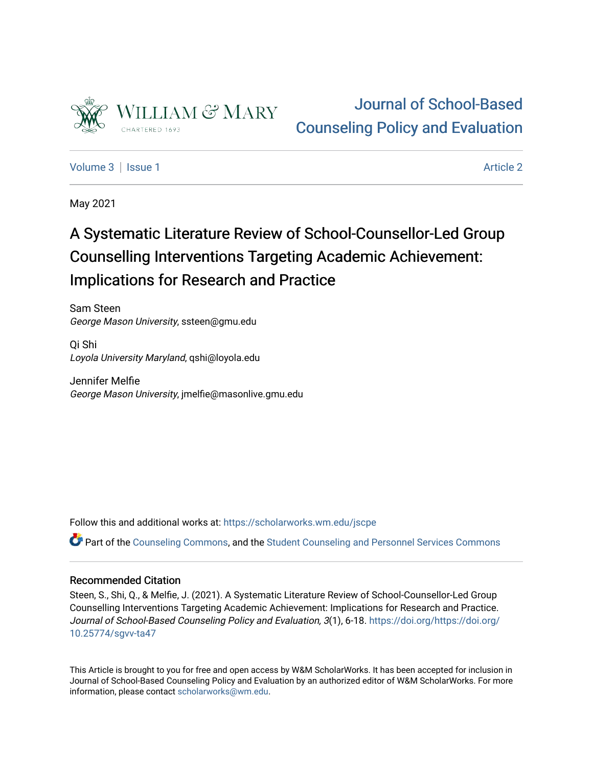

# [Journal of School-Based](https://scholarworks.wm.edu/jscpe)  [Counseling Policy and Evaluation](https://scholarworks.wm.edu/jscpe)

[Volume 3](https://scholarworks.wm.edu/jscpe/vol3) | [Issue 1](https://scholarworks.wm.edu/jscpe/vol3/iss1) Article 2

May 2021

# A Systematic Literature Review of School-Counsellor-Led Group Counselling Interventions Targeting Academic Achievement: Implications for Research and Practice

Sam Steen George Mason University, ssteen@gmu.edu

Qi Shi Loyola University Maryland, qshi@loyola.edu

Jennifer Melfie George Mason University, jmelfie@masonlive.gmu.edu

Follow this and additional works at: [https://scholarworks.wm.edu/jscpe](https://scholarworks.wm.edu/jscpe?utm_source=scholarworks.wm.edu%2Fjscpe%2Fvol3%2Fiss1%2F2&utm_medium=PDF&utm_campaign=PDFCoverPages) 

Part of the [Counseling Commons,](http://network.bepress.com/hgg/discipline/1268?utm_source=scholarworks.wm.edu%2Fjscpe%2Fvol3%2Fiss1%2F2&utm_medium=PDF&utm_campaign=PDFCoverPages) and the [Student Counseling and Personnel Services Commons](http://network.bepress.com/hgg/discipline/802?utm_source=scholarworks.wm.edu%2Fjscpe%2Fvol3%2Fiss1%2F2&utm_medium=PDF&utm_campaign=PDFCoverPages) 

# Recommended Citation

Steen, S., Shi, Q., & Melfie, J. (2021). A Systematic Literature Review of School-Counsellor-Led Group Counselling Interventions Targeting Academic Achievement: Implications for Research and Practice. Journal of School-Based Counseling Policy and Evaluation, 3(1), 6-18. [https://doi.org/https://doi.org/](https://doi.org/https://doi.org/10.25774/sgvv-ta47) [10.25774/sgvv-ta47](https://doi.org/https://doi.org/10.25774/sgvv-ta47)

This Article is brought to you for free and open access by W&M ScholarWorks. It has been accepted for inclusion in Journal of School-Based Counseling Policy and Evaluation by an authorized editor of W&M ScholarWorks. For more information, please contact [scholarworks@wm.edu](mailto:scholarworks@wm.edu).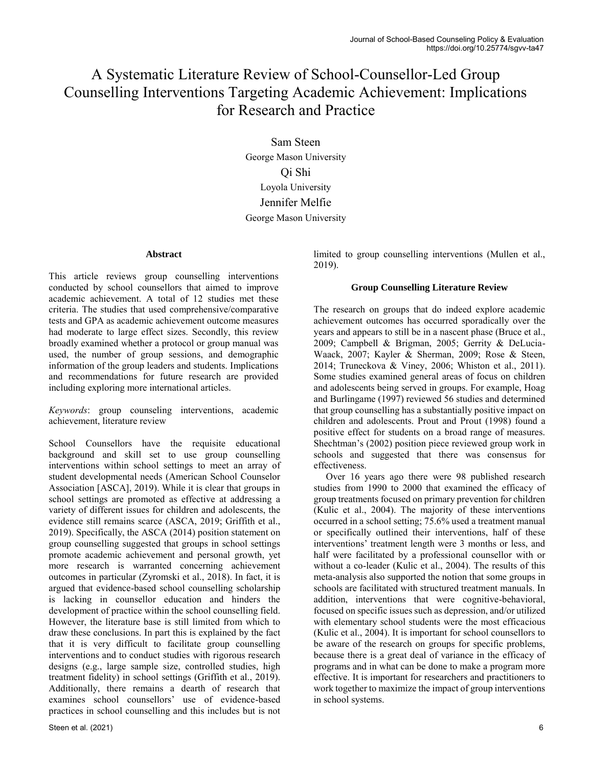# A Systematic Literature Review of School-Counsellor-Led Group Counselling Interventions Targeting Academic Achievement: Implications for Research and Practice

Sam Steen George Mason University Qi Shi Loyola University Jennifer Melfie George Mason University

# **Abstract**

This article reviews group counselling interventions conducted by school counsellors that aimed to improve academic achievement. A total of 12 studies met these criteria. The studies that used comprehensive/comparative tests and GPA as academic achievement outcome measures had moderate to large effect sizes. Secondly, this review broadly examined whether a protocol or group manual was used, the number of group sessions, and demographic information of the group leaders and students. Implications and recommendations for future research are provided including exploring more international articles.

*Keywords*: group counseling interventions, academic achievement, literature review

School Counsellors have the requisite educational background and skill set to use group counselling interventions within school settings to meet an array of student developmental needs (American School Counselor Association [ASCA], 2019). While it is clear that groups in school settings are promoted as effective at addressing a variety of different issues for children and adolescents, the evidence still remains scarce (ASCA, 2019; Griffith et al., 2019). Specifically, the ASCA (2014) position statement on group counselling suggested that groups in school settings promote academic achievement and personal growth, yet more research is warranted concerning achievement outcomes in particular (Zyromski et al., 2018). In fact, it is argued that evidence-based school counselling scholarship is lacking in counsellor education and hinders the development of practice within the school counselling field. However, the literature base is still limited from which to draw these conclusions. In part this is explained by the fact that it is very difficult to facilitate group counselling interventions and to conduct studies with rigorous research designs (e.g., large sample size, controlled studies, high treatment fidelity) in school settings (Griffith et al., 2019). Additionally, there remains a dearth of research that examines school counsellors' use of evidence-based practices in school counselling and this includes but is not limited to group counselling interventions (Mullen et al., 2019).

# **Group Counselling Literature Review**

The research on groups that do indeed explore academic achievement outcomes has occurred sporadically over the years and appears to still be in a nascent phase (Bruce et al., 2009; Campbell & Brigman, 2005; Gerrity & DeLucia-Waack, 2007; Kayler & Sherman, 2009; Rose & Steen, 2014; Truneckova & Viney, 2006; Whiston et al., 2011). Some studies examined general areas of focus on children and adolescents being served in groups. For example, Hoag and Burlingame (1997) reviewed 56 studies and determined that group counselling has a substantially positive impact on children and adolescents. Prout and Prout (1998) found a positive effect for students on a broad range of measures. Shechtman's (2002) position piece reviewed group work in schools and suggested that there was consensus for effectiveness.

 Over 16 years ago there were 98 published research studies from 1990 to 2000 that examined the efficacy of group treatments focused on primary prevention for children (Kulic et al., 2004). The majority of these interventions occurred in a school setting; 75.6% used a treatment manual or specifically outlined their interventions, half of these interventions' treatment length were 3 months or less, and half were facilitated by a professional counsellor with or without a co-leader (Kulic et al., 2004). The results of this meta-analysis also supported the notion that some groups in schools are facilitated with structured treatment manuals. In addition, interventions that were cognitive-behavioral, focused on specific issues such as depression, and/or utilized with elementary school students were the most efficacious (Kulic et al., 2004). It is important for school counsellors to be aware of the research on groups for specific problems, because there is a great deal of variance in the efficacy of programs and in what can be done to make a program more effective. It is important for researchers and practitioners to work together to maximize the impact of group interventions in school systems.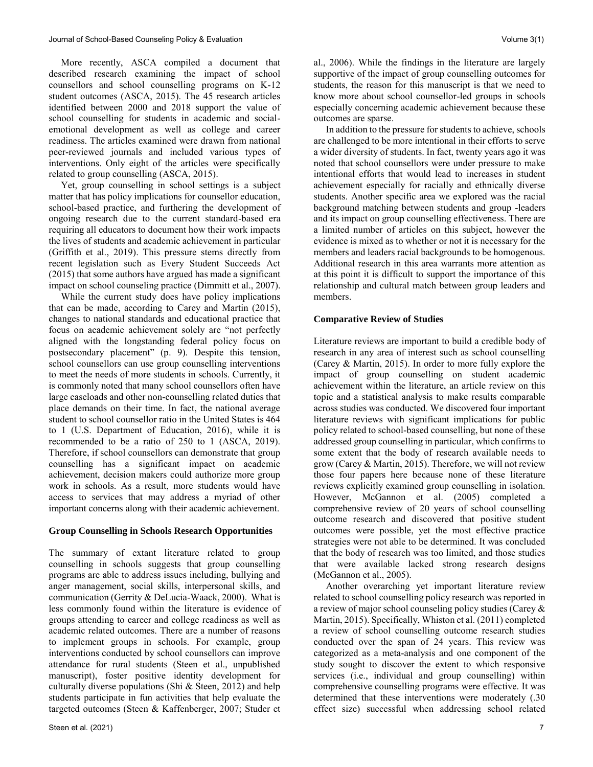More recently, ASCA compiled a document that described research examining the impact of school counsellors and school counselling programs on K-12 student outcomes (ASCA, 2015). The 45 research articles identified between 2000 and 2018 support the value of school counselling for students in academic and socialemotional development as well as college and career readiness. The articles examined were drawn from national peer-reviewed journals and included various types of interventions. Only eight of the articles were specifically related to group counselling (ASCA, 2015).

 Yet, group counselling in school settings is a subject matter that has policy implications for counsellor education, school-based practice, and furthering the development of ongoing research due to the current standard-based era requiring all educators to document how their work impacts the lives of students and academic achievement in particular (Griffith et al., 2019). This pressure stems directly from recent legislation such as Every Student Succeeds Act (2015) that some authors have argued has made a significant impact on school counseling practice (Dimmitt et al., 2007).

 While the current study does have policy implications that can be made, according to Carey and Martin (2015), changes to national standards and educational practice that focus on academic achievement solely are "not perfectly aligned with the longstanding federal policy focus on postsecondary placement" (p. 9). Despite this tension, school counsellors can use group counselling interventions to meet the needs of more students in schools. Currently, it is commonly noted that many school counsellors often have large caseloads and other non-counselling related duties that place demands on their time. In fact, the national average student to school counsellor ratio in the United States is 464 to 1 (U.S. Department of Education, 2016), while it is recommended to be a ratio of 250 to 1 (ASCA, 2019). Therefore, if school counsellors can demonstrate that group counselling has a significant impact on academic achievement, decision makers could authorize more group work in schools. As a result, more students would have access to services that may address a myriad of other important concerns along with their academic achievement.

# **Group Counselling in Schools Research Opportunities**

The summary of extant literature related to group counselling in schools suggests that group counselling programs are able to address issues including, bullying and anger management, social skills, interpersonal skills, and communication (Gerrity & DeLucia-Waack, 2000). What is less commonly found within the literature is evidence of groups attending to career and college readiness as well as academic related outcomes. There are a number of reasons to implement groups in schools. For example, group interventions conducted by school counsellors can improve attendance for rural students (Steen et al., unpublished manuscript), foster positive identity development for culturally diverse populations (Shi & Steen, 2012) and help students participate in fun activities that help evaluate the targeted outcomes (Steen & Kaffenberger, 2007; Studer et al., 2006). While the findings in the literature are largely supportive of the impact of group counselling outcomes for students, the reason for this manuscript is that we need to know more about school counsellor-led groups in schools especially concerning academic achievement because these outcomes are sparse.

 In addition to the pressure for students to achieve, schools are challenged to be more intentional in their efforts to serve a wider diversity of students. In fact, twenty years ago it was noted that school counsellors were under pressure to make intentional efforts that would lead to increases in student achievement especially for racially and ethnically diverse students. Another specific area we explored was the racial background matching between students and group -leaders and its impact on group counselling effectiveness. There are a limited number of articles on this subject, however the evidence is mixed as to whether or not it is necessary for the members and leaders racial backgrounds to be homogenous. Additional research in this area warrants more attention as at this point it is difficult to support the importance of this relationship and cultural match between group leaders and members.

# **Comparative Review of Studies**

Literature reviews are important to build a credible body of research in any area of interest such as school counselling (Carey & Martin, 2015). In order to more fully explore the impact of group counselling on student academic achievement within the literature, an article review on this topic and a statistical analysis to make results comparable across studies was conducted. We discovered four important literature reviews with significant implications for public policy related to school-based counselling, but none of these addressed group counselling in particular, which confirms to some extent that the body of research available needs to grow (Carey & Martin, 2015). Therefore, we will not review those four papers here because none of these literature reviews explicitly examined group counselling in isolation. However, McGannon et al. (2005) completed a comprehensive review of 20 years of school counselling outcome research and discovered that positive student outcomes were possible, yet the most effective practice strategies were not able to be determined. It was concluded that the body of research was too limited, and those studies that were available lacked strong research designs (McGannon et al., 2005).

 Another overarching yet important literature review related to school counselling policy research was reported in a review of major school counseling policy studies (Carey & Martin, 2015). Specifically, Whiston et al. (2011) completed a review of school counselling outcome research studies conducted over the span of 24 years. This review was categorized as a meta-analysis and one component of the study sought to discover the extent to which responsive services (i.e., individual and group counselling) within comprehensive counselling programs were effective. It was determined that these interventions were moderately (.30 effect size) successful when addressing school related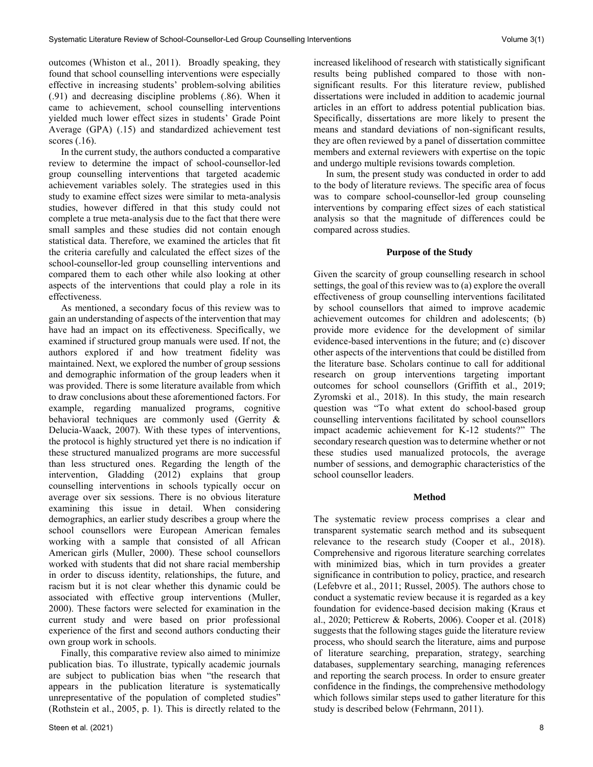outcomes (Whiston et al., 2011). Broadly speaking, they found that school counselling interventions were especially effective in increasing students' problem-solving abilities (.91) and decreasing discipline problems (.86). When it came to achievement, school counselling interventions yielded much lower effect sizes in students' Grade Point Average (GPA) (.15) and standardized achievement test scores (.16).

 In the current study, the authors conducted a comparative review to determine the impact of school-counsellor-led group counselling interventions that targeted academic achievement variables solely. The strategies used in this study to examine effect sizes were similar to meta-analysis studies, however differed in that this study could not complete a true meta-analysis due to the fact that there were small samples and these studies did not contain enough statistical data. Therefore, we examined the articles that fit the criteria carefully and calculated the effect sizes of the school-counsellor-led group counselling interventions and compared them to each other while also looking at other aspects of the interventions that could play a role in its effectiveness.

 As mentioned, a secondary focus of this review was to gain an understanding of aspects of the intervention that may have had an impact on its effectiveness. Specifically, we examined if structured group manuals were used. If not, the authors explored if and how treatment fidelity was maintained. Next, we explored the number of group sessions and demographic information of the group leaders when it was provided. There is some literature available from which to draw conclusions about these aforementioned factors. For example, regarding manualized programs, cognitive behavioral techniques are commonly used (Gerrity & Delucia-Waack, 2007). With these types of interventions, the protocol is highly structured yet there is no indication if these structured manualized programs are more successful than less structured ones. Regarding the length of the intervention, Gladding (2012) explains that group counselling interventions in schools typically occur on average over six sessions. There is no obvious literature examining this issue in detail. When considering demographics, an earlier study describes a group where the school counsellors were European American females working with a sample that consisted of all African American girls (Muller, 2000). These school counsellors worked with students that did not share racial membership in order to discuss identity, relationships, the future, and racism but it is not clear whether this dynamic could be associated with effective group interventions (Muller, 2000). These factors were selected for examination in the current study and were based on prior professional experience of the first and second authors conducting their own group work in schools.

 Finally, this comparative review also aimed to minimize publication bias. To illustrate, typically academic journals are subject to publication bias when "the research that appears in the publication literature is systematically unrepresentative of the population of completed studies" (Rothstein et al., 2005, p. 1). This is directly related to the increased likelihood of research with statistically significant results being published compared to those with nonsignificant results. For this literature review, published dissertations were included in addition to academic journal articles in an effort to address potential publication bias. Specifically, dissertations are more likely to present the means and standard deviations of non-significant results, they are often reviewed by a panel of dissertation committee members and external reviewers with expertise on the topic and undergo multiple revisions towards completion.

 In sum, the present study was conducted in order to add to the body of literature reviews. The specific area of focus was to compare school-counsellor-led group counseling interventions by comparing effect sizes of each statistical analysis so that the magnitude of differences could be compared across studies.

# **Purpose of the Study**

Given the scarcity of group counselling research in school settings, the goal of this review was to (a) explore the overall effectiveness of group counselling interventions facilitated by school counsellors that aimed to improve academic achievement outcomes for children and adolescents; (b) provide more evidence for the development of similar evidence-based interventions in the future; and (c) discover other aspects of the interventions that could be distilled from the literature base. Scholars continue to call for additional research on group interventions targeting important outcomes for school counsellors (Griffith et al., 2019; Zyromski et al., 2018). In this study, the main research question was "To what extent do school-based group counselling interventions facilitated by school counsellors impact academic achievement for K-12 students?" The secondary research question was to determine whether or not these studies used manualized protocols, the average number of sessions, and demographic characteristics of the school counsellor leaders.

# **Method**

The systematic review process comprises a clear and transparent systematic search method and its subsequent relevance to the research study (Cooper et al., 2018). Comprehensive and rigorous literature searching correlates with minimized bias, which in turn provides a greater significance in contribution to policy, practice, and research (Lefebvre et al., 2011; Russel, 2005). The authors chose to conduct a systematic review because it is regarded as a key foundation for evidence-based decision making (Kraus et al., 2020; Petticrew & Roberts, 2006). Cooper et al. (2018) suggests that the following stages guide the literature review process, who should search the literature, aims and purpose of literature searching, preparation, strategy, searching databases, supplementary searching, managing references and reporting the search process. In order to ensure greater confidence in the findings, the comprehensive methodology which follows similar steps used to gather literature for this study is described below (Fehrmann, 2011).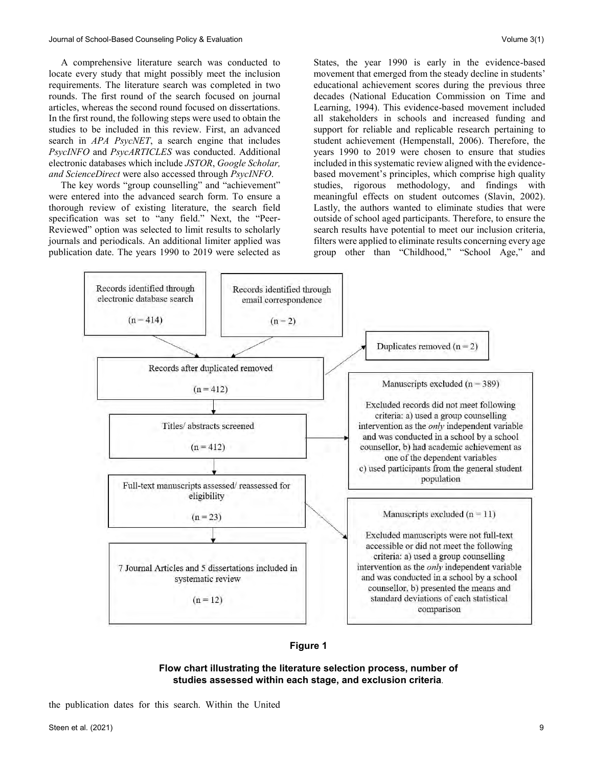A comprehensive literature search was conducted to locate every study that might possibly meet the inclusion requirements. The literature search was completed in two rounds. The first round of the search focused on journal articles, whereas the second round focused on dissertations. In the first round, the following steps were used to obtain the studies to be included in this review. First, an advanced search in *APA PsycNET*, a search engine that includes *PsycINFO* and *PsycARTICLES* was conducted. Additional electronic databases which include *JSTOR*, *Google Scholar, and ScienceDirect* were also accessed through *PsycINFO*.

 The key words "group counselling" and "achievement" were entered into the advanced search form. To ensure a thorough review of existing literature, the search field specification was set to "any field." Next, the "Peer-Reviewed" option was selected to limit results to scholarly journals and periodicals. An additional limiter applied was publication date. The years 1990 to 2019 were selected as States, the year 1990 is early in the evidence-based movement that emerged from the steady decline in students' educational achievement scores during the previous three decades (National Education Commission on Time and Learning, 1994). This evidence-based movement included all stakeholders in schools and increased funding and support for reliable and replicable research pertaining to student achievement (Hempenstall, 2006). Therefore, the years 1990 to 2019 were chosen to ensure that studies included in this systematic review aligned with the evidencebased movement's principles, which comprise high quality studies, rigorous methodology, and findings with meaningful effects on student outcomes (Slavin, 2002). Lastly, the authors wanted to eliminate studies that were outside of school aged participants. Therefore, to ensure the search results have potential to meet our inclusion criteria, filters were applied to eliminate results concerning every age group other than "Childhood," "School Age," and



**Figure 1**

# **Flow chart illustrating the literature selection process, number of studies assessed within each stage, and exclusion criteria***.*

the publication dates for this search. Within the United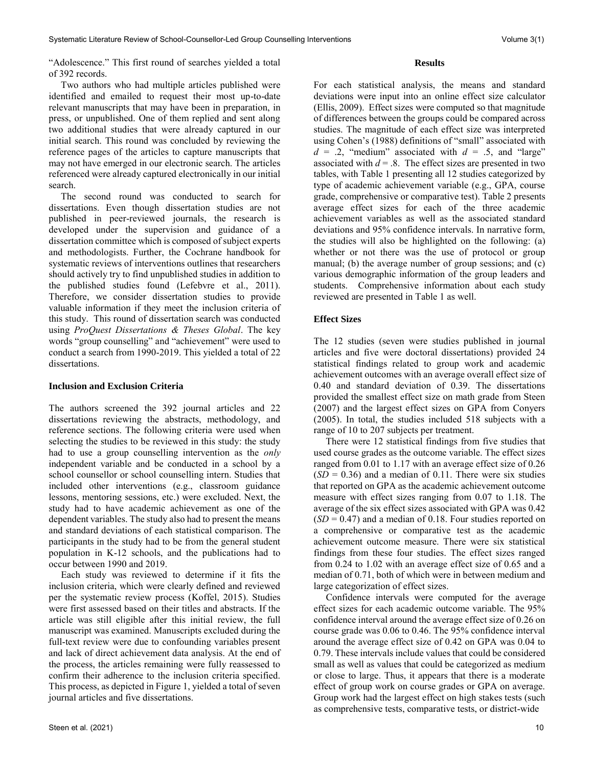"Adolescence." This first round of searches yielded a total of 392 records.

 Two authors who had multiple articles published were identified and emailed to request their most up-to-date relevant manuscripts that may have been in preparation, in press, or unpublished. One of them replied and sent along two additional studies that were already captured in our initial search. This round was concluded by reviewing the reference pages of the articles to capture manuscripts that may not have emerged in our electronic search. The articles referenced were already captured electronically in our initial search.

 The second round was conducted to search for dissertations. Even though dissertation studies are not published in peer-reviewed journals, the research is developed under the supervision and guidance of a dissertation committee which is composed of subject experts and methodologists. Further, the Cochrane handbook for systematic reviews of interventions outlines that researchers should actively try to find unpublished studies in addition to the published studies found (Lefebvre et al., 2011). Therefore, we consider dissertation studies to provide valuable information if they meet the inclusion criteria of this study. This round of dissertation search was conducted using *ProQuest Dissertations & Theses Global*. The key words "group counselling" and "achievement" were used to conduct a search from 1990-2019. This yielded a total of 22 dissertations.

### **Inclusion and Exclusion Criteria**

The authors screened the 392 journal articles and 22 dissertations reviewing the abstracts, methodology, and reference sections. The following criteria were used when selecting the studies to be reviewed in this study: the study had to use a group counselling intervention as the *only* independent variable and be conducted in a school by a school counsellor or school counselling intern. Studies that included other interventions (e.g., classroom guidance lessons, mentoring sessions, etc.) were excluded. Next, the study had to have academic achievement as one of the dependent variables. The study also had to present the means and standard deviations of each statistical comparison. The participants in the study had to be from the general student population in K-12 schools, and the publications had to occur between 1990 and 2019.

 Each study was reviewed to determine if it fits the inclusion criteria, which were clearly defined and reviewed per the systematic review process (Koffel, 2015). Studies were first assessed based on their titles and abstracts. If the article was still eligible after this initial review, the full manuscript was examined. Manuscripts excluded during the full-text review were due to confounding variables present and lack of direct achievement data analysis. At the end of the process, the articles remaining were fully reassessed to confirm their adherence to the inclusion criteria specified. This process, as depicted in Figure 1, yielded a total of seven journal articles and five dissertations.

# **Results**

For each statistical analysis, the means and standard deviations were input into an online effect size calculator (Ellis, 2009). Effect sizes were computed so that magnitude of differences between the groups could be compared across studies. The magnitude of each effect size was interpreted using Cohen's (1988) definitions of "small" associated with  $d = 0.2$ , "medium" associated with  $d = 0.5$ , and "large" associated with  $d = 0.8$ . The effect sizes are presented in two tables, with Table 1 presenting all 12 studies categorized by type of academic achievement variable (e.g., GPA, course grade, comprehensive or comparative test). Table 2 presents average effect sizes for each of the three academic achievement variables as well as the associated standard deviations and 95% confidence intervals. In narrative form, the studies will also be highlighted on the following: (a) whether or not there was the use of protocol or group manual; (b) the average number of group sessions; and (c) various demographic information of the group leaders and students. Comprehensive information about each study reviewed are presented in Table 1 as well.

### **Effect Sizes**

The 12 studies (seven were studies published in journal articles and five were doctoral dissertations) provided 24 statistical findings related to group work and academic achievement outcomes with an average overall effect size of 0.40 and standard deviation of 0.39. The dissertations provided the smallest effect size on math grade from Steen (2007) and the largest effect sizes on GPA from Conyers (2005). In total, the studies included 518 subjects with a range of 10 to 207 subjects per treatment.

 There were 12 statistical findings from five studies that used course grades as the outcome variable. The effect sizes ranged from 0.01 to 1.17 with an average effect size of 0.26  $(SD = 0.36)$  and a median of 0.11. There were six studies that reported on GPA as the academic achievement outcome measure with effect sizes ranging from 0.07 to 1.18. The average of the six effect sizes associated with GPA was 0.42  $(SD = 0.47)$  and a median of 0.18. Four studies reported on a comprehensive or comparative test as the academic achievement outcome measure. There were six statistical findings from these four studies. The effect sizes ranged from 0.24 to 1.02 with an average effect size of 0.65 and a median of 0.71, both of which were in between medium and large categorization of effect sizes.

 Confidence intervals were computed for the average effect sizes for each academic outcome variable. The 95% confidence interval around the average effect size of 0.26 on course grade was 0.06 to 0.46. The 95% confidence interval around the average effect size of 0.42 on GPA was 0.04 to 0.79. These intervals include values that could be considered small as well as values that could be categorized as medium or close to large. Thus, it appears that there is a moderate effect of group work on course grades or GPA on average. Group work had the largest effect on high stakes tests (such as comprehensive tests, comparative tests, or district-wide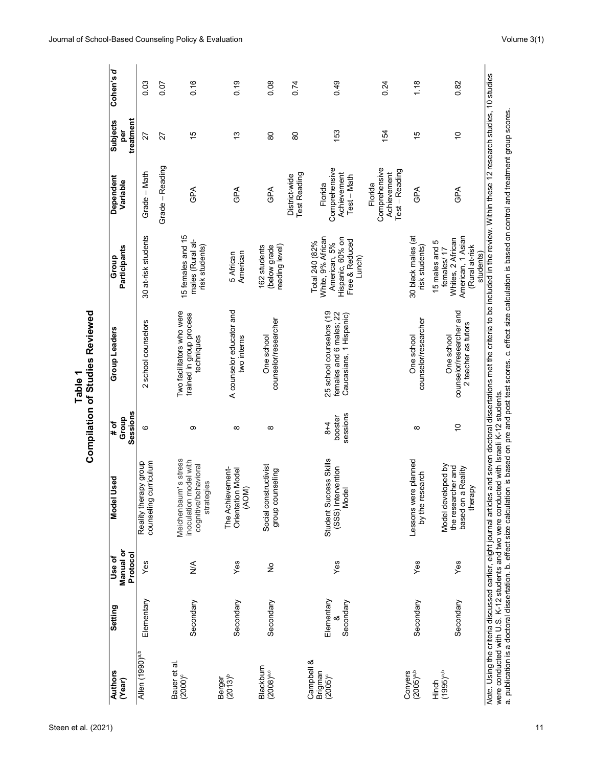| <b>Authors</b><br>(Year)              | Setting                 | Manual or<br>Use of | Used<br><b>Model</b>                                                                 | Group<br># of                | Group Leaders                                                                  | Participants<br>Group                                                                                 | Dependent<br>Variable                                     | <b>Subjects</b><br>per | Cohen's d |
|---------------------------------------|-------------------------|---------------------|--------------------------------------------------------------------------------------|------------------------------|--------------------------------------------------------------------------------|-------------------------------------------------------------------------------------------------------|-----------------------------------------------------------|------------------------|-----------|
|                                       |                         | Protocol            |                                                                                      | Sessions                     |                                                                                |                                                                                                       |                                                           | treatment              |           |
| Allen (1990) <sup>a,b</sup>           | Elementary              | Yes                 | counseling curriculum<br>Reality therapy group                                       | ဖ                            | 2 school counselors                                                            | 30 at-risk students                                                                                   | Grade - Math                                              | 27                     | 0.03      |
|                                       |                         |                     |                                                                                      |                              |                                                                                |                                                                                                       | Grade - Reading                                           | 27                     | 0.07      |
| Bauer et al.<br>$(2000)$ <sup>c</sup> | Secondary               | $\lessgtr$          | Meichenbaum's stress<br>inoculation model with<br>cognitive/behavioral<br>strategies | တ                            | Two facilitators who were<br>trained in group process<br>techniques            | 15 females and 15<br>males (Rural at-<br>risk students)                                               | GPA                                                       | 15                     | 0.16      |
| $(2013)^{b}$<br>Berger                | Secondary               | Yes                 | The Achievement-<br>Orientation Model<br>(AOM)                                       | $\infty$                     | A counselor educator and<br>two interns                                        | American<br>5 African                                                                                 | <b>GPA</b>                                                | $\frac{1}{2}$          | 0.19      |
| Blackburn<br>$(2008)^{a,c}$           | Secondary               | $\frac{1}{2}$       | Social constructivist<br>group counseling                                            | ${}^{\circ}$                 | counselor/researcher<br>One school                                             | reading level)<br>(below grade<br>162 students                                                        | GPA                                                       | 80                     | 0.08      |
|                                       |                         |                     |                                                                                      |                              |                                                                                |                                                                                                       | <b>Test Reading</b><br>District-wide                      | 8                      | 0.74      |
| Campbell &<br>Brigman<br>$(2005)^c$   | Elementary<br>Secondary | Yes                 | Student Success Skills<br>(SSS) Intervention<br>$\overline{\Phi}$<br>Mod             | sessions<br>booster<br>$8+4$ | 25 school counselors (19<br>females and 6 males; 22<br>Caucasians, 1 Hispanic) | White, 9% African<br>Hispanic, 60% on<br>Free & Reduced<br>Total 240 (82%<br>American, 5%<br>Lunch)   | Comprehensive<br>Achievement<br>Test - Math<br>Florida    | 153                    | 0.49      |
|                                       |                         |                     |                                                                                      |                              |                                                                                |                                                                                                       | Comprehensive<br>Test - Reading<br>Achievement<br>Florida | 154                    | 0.24      |
| Conyers<br>(2005) <sup>a,b</sup>      | Secondary               | Yes                 | Lessons were planned<br>by the research                                              | $\infty$                     | counselor/researcher<br>One school                                             | 30 black males (at<br>risk students)                                                                  | GPA                                                       | 15                     | 1.18      |
| $(1995)$ <sup>a,b</sup><br>Hinch      | Secondary               | Yes                 | Model developed by<br>the researcher and<br>based on a Reality<br>therapy            | $\tilde{c}$                  | counselor/researcher and<br>2 teacher as tutors<br>One school                  | American, 1 Asian<br>Whites, 2 African<br>15 males and 5<br>(Rural at-risk<br>females/17<br>students) | GPA                                                       | $\tilde{c}$            | 0.82      |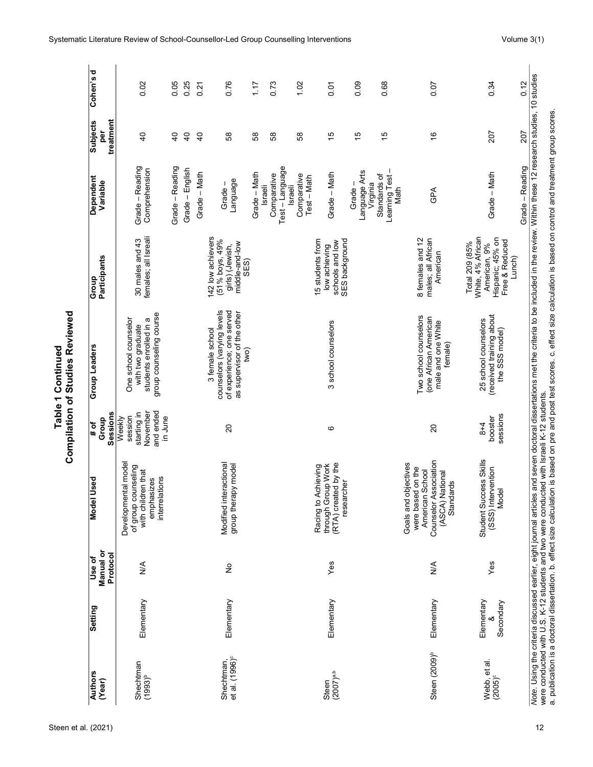| Steen et al. (2021) |  |
|---------------------|--|
|---------------------|--|

|                    | ñ            |
|--------------------|--------------|
| ى<br>ت<br>ѯ<br>ត្ត | Ξ<br>studies |
|                    |              |
| able<br>í          |              |

| <b>Authors</b><br>(Year)                 | Setting                 | Manual or<br>Protocol<br>Use of | рэ.<br>Model Us                                                                                                            | Sessions<br>Group<br>$\frac{4}{10}$                                  | <b>Group Leaders</b>                                                                                             | <b>Participants</b><br>Group                                                                        | Dependent<br>Variable                                            | treatment<br><b>Subjects</b><br><u>per</u> | Cohen's d |
|------------------------------------------|-------------------------|---------------------------------|----------------------------------------------------------------------------------------------------------------------------|----------------------------------------------------------------------|------------------------------------------------------------------------------------------------------------------|-----------------------------------------------------------------------------------------------------|------------------------------------------------------------------|--------------------------------------------|-----------|
| Shechtman<br>$(1993)^{b}$                | Elementary              | $\frac{4}{2}$                   | Developmental model<br>of group counseling<br>with children that<br>interrelations<br>emphasizes                           | and ended<br>starting in<br>November<br>session<br>in June<br>Weekly | group counseling course<br>students enrolled in a<br>One school counselor<br>with two graduate                   | females; all Isreali<br>30 males and 43                                                             | Grade - Reading<br>Comprehension                                 | $\overline{a}$                             | 0.02      |
|                                          |                         |                                 |                                                                                                                            |                                                                      |                                                                                                                  |                                                                                                     | Grade - Reading                                                  | $\overline{a}$                             | 0.05      |
|                                          |                         |                                 |                                                                                                                            |                                                                      |                                                                                                                  |                                                                                                     | Grade - English                                                  | $\overline{4}$                             | 0.25      |
|                                          |                         |                                 |                                                                                                                            |                                                                      |                                                                                                                  |                                                                                                     | Grade - Math                                                     | $\overline{a}$                             | 0.21      |
| Shechtman,<br>et al. (1996) <sup>c</sup> | Elementary              | $\frac{1}{2}$                   | Modified interactional<br>model<br>group therapy                                                                           | $\overline{c}$                                                       | counselors (varying levels<br>of experience; one served<br>as supervisor of the other<br>3 female school<br>two) | 142 low achievers<br>(51% boys, 49%<br>middle-and-low<br>girls) (Jewish,<br>SES)                    | Language<br>Grade-                                               | 89                                         | 0.76      |
|                                          |                         |                                 |                                                                                                                            |                                                                      |                                                                                                                  |                                                                                                     | Grade - Math                                                     | 68                                         | 1.17      |
|                                          |                         |                                 |                                                                                                                            |                                                                      |                                                                                                                  |                                                                                                     | Test-Language<br>Comparative<br><b>Israeli</b><br><b>Israeli</b> | 89                                         | 0.73      |
|                                          |                         |                                 |                                                                                                                            |                                                                      |                                                                                                                  |                                                                                                     | Comparative<br>Test - Math                                       | 89                                         | 1.02      |
| $(2007)^{a,b}$<br>Steen                  | Elementary              | Yes                             | I by the<br>through Group Work<br>Racing to Achieving<br>researcher<br>(RTA) created                                       | ဖ                                                                    | 3 school counselors                                                                                              | SES background<br>15 students from<br>schools and low<br>low achieving                              | Grade - Math                                                     | 15                                         | ρ.<br>Ο   |
|                                          |                         |                                 |                                                                                                                            |                                                                      |                                                                                                                  |                                                                                                     | Language Arts<br>Virginia<br>Grade                               | 15                                         | 0.09      |
|                                          |                         |                                 |                                                                                                                            |                                                                      |                                                                                                                  |                                                                                                     | Learning Test-<br>Standards of<br>Math                           | 10                                         | 0.68      |
| Steen (2009) <sup>b</sup>                | Elementary              | $\frac{1}{2}$                   | Counselor Association<br>Goals and objectives<br>were based on the<br>American School<br>(ASCA) National<br>يو<br>Standard | $\overline{c}$                                                       | Two school counselors<br>(one African American<br>male and one White<br>female)                                  | males; all African<br>8 females and 12<br>American                                                  | GPA                                                              | $\frac{6}{5}$                              | 0.07      |
| Webb, et al.<br>$(2005)^c$               | Elementary<br>Secondary | Yes                             | Student Success Skills<br>(SSS) Intervention<br>Model                                                                      | sessions<br>booster<br>$8 + 4$                                       | (received training about<br>25 school counselors<br>the SSS model)                                               | White, 4% African<br>Hispanic; 45% on<br>Free & Reduced<br>Total 209 (85%<br>American, 9%<br>Lunch) | Grade - Math                                                     | 207                                        | 0.34      |
|                                          |                         |                                 |                                                                                                                            |                                                                      |                                                                                                                  |                                                                                                     | Grade - Reading                                                  | 207                                        | 0.12      |

were conducted with U.S. K-12 students and two were conducted with Israeli K-12 students.

a. publication is a doctoral dissertation. b. effect size calculation is based on pre and post test scores. c. effect size calculation is based on control and treatment group scores.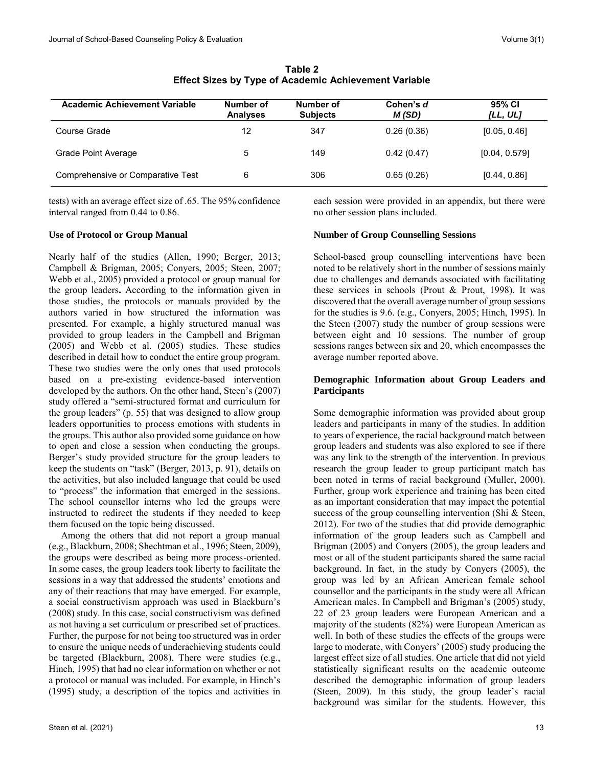| Academic Achievement Variable     | Number of<br><b>Analyses</b> | Number of<br><b>Subjects</b> | Cohen's d<br>M(SD) | 95% CI<br>[LL, UL] |
|-----------------------------------|------------------------------|------------------------------|--------------------|--------------------|
| Course Grade                      | 12                           | 347                          | 0.26(0.36)         | [0.05, 0.46]       |
| Grade Point Average               | 5                            | 149                          | 0.42(0.47)         | [0.04, 0.579]      |
| Comprehensive or Comparative Test | 6                            | 306                          | 0.65(0.26)         | [0.44, 0.86]       |

**Table 2 Effect Sizes by Type of Academic Achievement Variable**

tests) with an average effect size of .65. The 95% confidence interval ranged from 0.44 to 0.86.

# **Use of Protocol or Group Manual**

Nearly half of the studies (Allen, 1990; Berger, 2013; Campbell & Brigman, 2005; Conyers, 2005; Steen, 2007; Webb et al., 2005) provided a protocol or group manual for the group leaders**.** According to the information given in those studies, the protocols or manuals provided by the authors varied in how structured the information was presented. For example, a highly structured manual was provided to group leaders in the Campbell and Brigman (2005) and Webb et al. (2005) studies. These studies described in detail how to conduct the entire group program. These two studies were the only ones that used protocols based on a pre-existing evidence-based intervention developed by the authors. On the other hand, Steen's (2007) study offered a "semi-structured format and curriculum for the group leaders" (p. 55) that was designed to allow group leaders opportunities to process emotions with students in the groups. This author also provided some guidance on how to open and close a session when conducting the groups. Berger's study provided structure for the group leaders to keep the students on "task" (Berger, 2013, p. 91), details on the activities, but also included language that could be used to "process" the information that emerged in the sessions. The school counsellor interns who led the groups were instructed to redirect the students if they needed to keep them focused on the topic being discussed.

 Among the others that did not report a group manual (e.g., Blackburn, 2008; Shechtman et al., 1996; Steen, 2009), the groups were described as being more process-oriented. In some cases, the group leaders took liberty to facilitate the sessions in a way that addressed the students' emotions and any of their reactions that may have emerged. For example, a social constructivism approach was used in Blackburn's (2008) study. In this case, social constructivism was defined as not having a set curriculum or prescribed set of practices. Further, the purpose for not being too structured was in order to ensure the unique needs of underachieving students could be targeted (Blackburn, 2008). There were studies (e.g., Hinch, 1995) that had no clear information on whether or not a protocol or manual was included. For example, in Hinch's (1995) study, a description of the topics and activities in each session were provided in an appendix, but there were no other session plans included.

# **Number of Group Counselling Sessions**

School-based group counselling interventions have been noted to be relatively short in the number of sessions mainly due to challenges and demands associated with facilitating these services in schools (Prout & Prout, 1998). It was discovered that the overall average number of group sessions for the studies is 9.6. (e.g., Conyers, 2005; Hinch, 1995). In the Steen (2007) study the number of group sessions were between eight and 10 sessions. The number of group sessions ranges between six and 20, which encompasses the average number reported above.

# **Demographic Information about Group Leaders and Participants**

Some demographic information was provided about group leaders and participants in many of the studies. In addition to years of experience, the racial background match between group leaders and students was also explored to see if there was any link to the strength of the intervention. In previous research the group leader to group participant match has been noted in terms of racial background (Muller, 2000). Further, group work experience and training has been cited as an important consideration that may impact the potential success of the group counselling intervention (Shi & Steen, 2012). For two of the studies that did provide demographic information of the group leaders such as Campbell and Brigman (2005) and Conyers (2005), the group leaders and most or all of the student participants shared the same racial background. In fact, in the study by Conyers (2005), the group was led by an African American female school counsellor and the participants in the study were all African American males. In Campbell and Brigman's (2005) study, 22 of 23 group leaders were European American and a majority of the students (82%) were European American as well. In both of these studies the effects of the groups were large to moderate, with Conyers' (2005) study producing the largest effect size of all studies. One article that did not yield statistically significant results on the academic outcome described the demographic information of group leaders (Steen, 2009). In this study, the group leader's racial background was similar for the students. However, this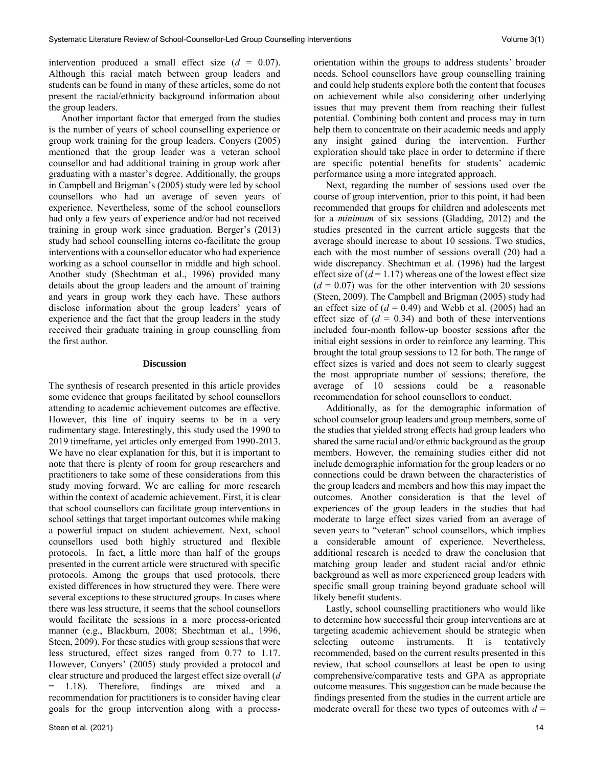intervention produced a small effect size  $(d = 0.07)$ . Although this racial match between group leaders and students can be found in many of these articles, some do not present the racial/ethnicity background information about the group leaders.

 Another important factor that emerged from the studies is the number of years of school counselling experience or group work training for the group leaders. Conyers (2005) mentioned that the group leader was a veteran school counsellor and had additional training in group work after graduating with a master's degree. Additionally, the groups in Campbell and Brigman's (2005) study were led by school counsellors who had an average of seven years of experience. Nevertheless, some of the school counsellors had only a few years of experience and/or had not received training in group work since graduation. Berger's (2013) study had school counselling interns co-facilitate the group interventions with a counsellor educator who had experience working as a school counsellor in middle and high school. Another study (Shechtman et al., 1996) provided many details about the group leaders and the amount of training and years in group work they each have. These authors disclose information about the group leaders' years of experience and the fact that the group leaders in the study received their graduate training in group counselling from the first author.

#### **Discussion**

The synthesis of research presented in this article provides some evidence that groups facilitated by school counsellors attending to academic achievement outcomes are effective. However, this line of inquiry seems to be in a very rudimentary stage. Interestingly, this study used the 1990 to 2019 timeframe, yet articles only emerged from 1990-2013. We have no clear explanation for this, but it is important to note that there is plenty of room for group researchers and practitioners to take some of these considerations from this study moving forward. We are calling for more research within the context of academic achievement. First, it is clear that school counsellors can facilitate group interventions in school settings that target important outcomes while making a powerful impact on student achievement. Next, school counsellors used both highly structured and flexible protocols. In fact, a little more than half of the groups presented in the current article were structured with specific protocols. Among the groups that used protocols, there existed differences in how structured they were. There were several exceptions to these structured groups. In cases where there was less structure, it seems that the school counsellors would facilitate the sessions in a more process-oriented manner (e.g., Blackburn, 2008; Shechtman et al., 1996, Steen, 2009). For these studies with group sessions that were less structured, effect sizes ranged from 0.77 to 1.17. However, Conyers' (2005) study provided a protocol and clear structure and produced the largest effect size overall (*d* = 1.18). Therefore, findings are mixed and a recommendation for practitioners is to consider having clear goals for the group intervention along with a processorientation within the groups to address students' broader needs. School counsellors have group counselling training and could help students explore both the content that focuses on achievement while also considering other underlying issues that may prevent them from reaching their fullest potential. Combining both content and process may in turn help them to concentrate on their academic needs and apply any insight gained during the intervention. Further exploration should take place in order to determine if there are specific potential benefits for students' academic performance using a more integrated approach.

 Next, regarding the number of sessions used over the course of group intervention, prior to this point, it had been recommended that groups for children and adolescents met for a *minimum* of six sessions (Gladding, 2012) and the studies presented in the current article suggests that the average should increase to about 10 sessions. Two studies, each with the most number of sessions overall (20) had a wide discrepancy. Shechtman et al. (1996) had the largest effect size of  $(d = 1.17)$  whereas one of the lowest effect size  $(d = 0.07)$  was for the other intervention with 20 sessions (Steen, 2009). The Campbell and Brigman (2005) study had an effect size of  $(d = 0.49)$  and Webb et al. (2005) had an effect size of  $(d = 0.34)$  and both of these interventions included four-month follow-up booster sessions after the initial eight sessions in order to reinforce any learning. This brought the total group sessions to 12 for both. The range of effect sizes is varied and does not seem to clearly suggest the most appropriate number of sessions; therefore, the average of 10 sessions could be a reasonable recommendation for school counsellors to conduct.

 Additionally, as for the demographic information of school counselor group leaders and group members, some of the studies that yielded strong effects had group leaders who shared the same racial and/or ethnic background as the group members. However, the remaining studies either did not include demographic information for the group leaders or no connections could be drawn between the characteristics of the group leaders and members and how this may impact the outcomes. Another consideration is that the level of experiences of the group leaders in the studies that had moderate to large effect sizes varied from an average of seven years to "veteran" school counsellors, which implies a considerable amount of experience. Nevertheless, additional research is needed to draw the conclusion that matching group leader and student racial and/or ethnic background as well as more experienced group leaders with specific small group training beyond graduate school will likely benefit students.

 Lastly, school counselling practitioners who would like to determine how successful their group interventions are at targeting academic achievement should be strategic when selecting outcome instruments. It is tentatively recommended, based on the current results presented in this review, that school counsellors at least be open to using comprehensive/comparative tests and GPA as appropriate outcome measures. This suggestion can be made because the findings presented from the studies in the current article are moderate overall for these two types of outcomes with  $d =$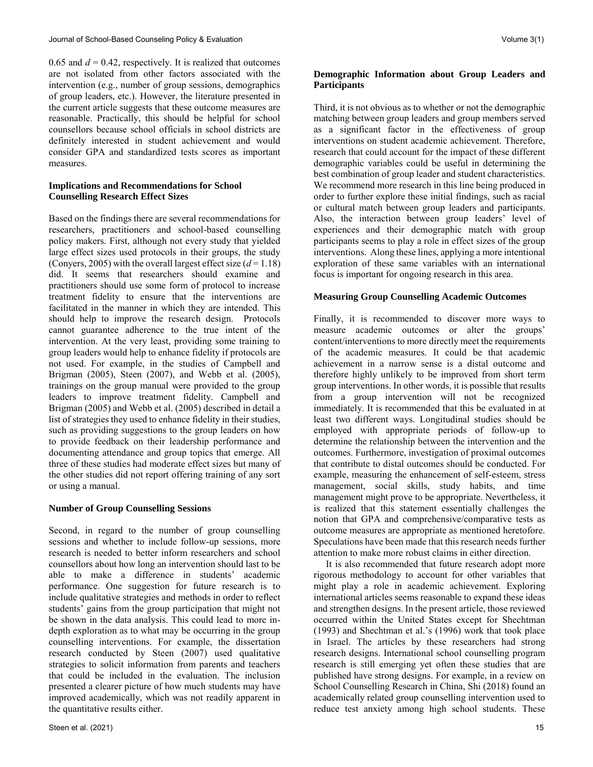0.65 and  $d = 0.42$ , respectively. It is realized that outcomes are not isolated from other factors associated with the intervention (e.g., number of group sessions, demographics of group leaders, etc.). However, the literature presented in the current article suggests that these outcome measures are reasonable. Practically, this should be helpful for school counsellors because school officials in school districts are definitely interested in student achievement and would consider GPA and standardized tests scores as important measures.

# **Implications and Recommendations for School Counselling Research Effect Sizes**

Based on the findings there are several recommendations for researchers, practitioners and school-based counselling policy makers. First, although not every study that yielded large effect sizes used protocols in their groups, the study (Convers, 2005) with the overall largest effect size  $(d=1.18)$ did. It seems that researchers should examine and practitioners should use some form of protocol to increase treatment fidelity to ensure that the interventions are facilitated in the manner in which they are intended. This should help to improve the research design. Protocols cannot guarantee adherence to the true intent of the intervention. At the very least, providing some training to group leaders would help to enhance fidelity if protocols are not used. For example, in the studies of Campbell and Brigman (2005), Steen (2007), and Webb et al. (2005), trainings on the group manual were provided to the group leaders to improve treatment fidelity. Campbell and Brigman (2005) and Webb et al. (2005) described in detail a list of strategies they used to enhance fidelity in their studies, such as providing suggestions to the group leaders on how to provide feedback on their leadership performance and documenting attendance and group topics that emerge. All three of these studies had moderate effect sizes but many of the other studies did not report offering training of any sort or using a manual.

# **Number of Group Counselling Sessions**

Second, in regard to the number of group counselling sessions and whether to include follow-up sessions, more research is needed to better inform researchers and school counsellors about how long an intervention should last to be able to make a difference in students' academic performance. One suggestion for future research is to include qualitative strategies and methods in order to reflect students' gains from the group participation that might not be shown in the data analysis. This could lead to more indepth exploration as to what may be occurring in the group counselling interventions. For example, the dissertation research conducted by Steen (2007) used qualitative strategies to solicit information from parents and teachers that could be included in the evaluation. The inclusion presented a clearer picture of how much students may have improved academically, which was not readily apparent in the quantitative results either.

# **Demographic Information about Group Leaders and Participants**

Third, it is not obvious as to whether or not the demographic matching between group leaders and group members served as a significant factor in the effectiveness of group interventions on student academic achievement. Therefore, research that could account for the impact of these different demographic variables could be useful in determining the best combination of group leader and student characteristics. We recommend more research in this line being produced in order to further explore these initial findings, such as racial or cultural match between group leaders and participants. Also, the interaction between group leaders' level of experiences and their demographic match with group participants seems to play a role in effect sizes of the group interventions. Along these lines, applying a more intentional exploration of these same variables with an international focus is important for ongoing research in this area.

# **Measuring Group Counselling Academic Outcomes**

Finally, it is recommended to discover more ways to measure academic outcomes or alter the groups' content/interventions to more directly meet the requirements of the academic measures. It could be that academic achievement in a narrow sense is a distal outcome and therefore highly unlikely to be improved from short term group interventions. In other words, it is possible that results from a group intervention will not be recognized immediately. It is recommended that this be evaluated in at least two different ways. Longitudinal studies should be employed with appropriate periods of follow-up to determine the relationship between the intervention and the outcomes. Furthermore, investigation of proximal outcomes that contribute to distal outcomes should be conducted. For example, measuring the enhancement of self-esteem, stress management, social skills, study habits, and time management might prove to be appropriate. Nevertheless, it is realized that this statement essentially challenges the notion that GPA and comprehensive/comparative tests as outcome measures are appropriate as mentioned heretofore. Speculations have been made that this research needs further attention to make more robust claims in either direction.

 It is also recommended that future research adopt more rigorous methodology to account for other variables that might play a role in academic achievement. Exploring international articles seems reasonable to expand these ideas and strengthen designs. In the present article, those reviewed occurred within the United States except for Shechtman (1993) and Shechtman et al.'s (1996) work that took place in Israel. The articles by these researchers had strong research designs. International school counselling program research is still emerging yet often these studies that are published have strong designs. For example, in a review on School Counselling Research in China, Shi (2018) found an academically related group counselling intervention used to reduce test anxiety among high school students. These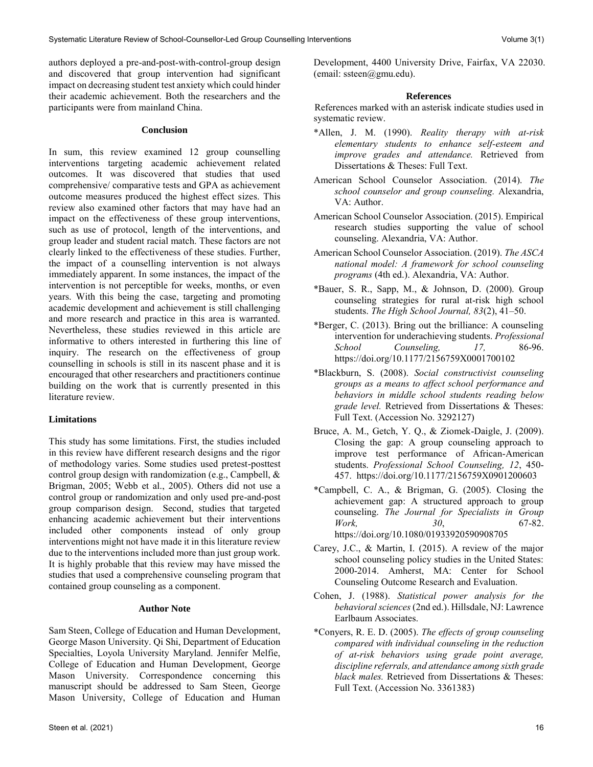authors deployed a pre-and-post-with-control-group design and discovered that group intervention had significant impact on decreasing student test anxiety which could hinder their academic achievement. Both the researchers and the participants were from mainland China.

# **Conclusion**

In sum, this review examined 12 group counselling interventions targeting academic achievement related outcomes. It was discovered that studies that used comprehensive/ comparative tests and GPA as achievement outcome measures produced the highest effect sizes. This review also examined other factors that may have had an impact on the effectiveness of these group interventions, such as use of protocol, length of the interventions, and group leader and student racial match. These factors are not clearly linked to the effectiveness of these studies. Further, the impact of a counselling intervention is not always immediately apparent. In some instances, the impact of the intervention is not perceptible for weeks, months, or even years. With this being the case, targeting and promoting academic development and achievement is still challenging and more research and practice in this area is warranted. Nevertheless, these studies reviewed in this article are informative to others interested in furthering this line of inquiry. The research on the effectiveness of group counselling in schools is still in its nascent phase and it is encouraged that other researchers and practitioners continue building on the work that is currently presented in this literature review.

# **Limitations**

This study has some limitations. First, the studies included in this review have different research designs and the rigor of methodology varies. Some studies used pretest-posttest control group design with randomization (e.g., Campbell, & Brigman, 2005; Webb et al., 2005). Others did not use a control group or randomization and only used pre-and-post group comparison design. Second, studies that targeted enhancing academic achievement but their interventions included other components instead of only group interventions might not have made it in this literature review due to the interventions included more than just group work. It is highly probable that this review may have missed the studies that used a comprehensive counseling program that contained group counseling as a component.

# **Author Note**

Sam Steen, College of Education and Human Development, George Mason University. Qi Shi, Department of Education Specialties, Loyola University Maryland. Jennifer Melfie, College of Education and Human Development, George Mason University. Correspondence concerning this manuscript should be addressed to Sam Steen, George Mason University, College of Education and Human

# **References**

References marked with an asterisk indicate studies used in systematic review.

- \*Allen, J. M. (1990). *Reality therapy with at-risk elementary students to enhance self-esteem and improve grades and attendance.* Retrieved from Dissertations & Theses: Full Text.
- American School Counselor Association. (2014). *The school counselor and group counseling.* Alexandria, VA: Author.
- American School Counselor Association. (2015). Empirical research studies supporting the value of school counseling. Alexandria, VA: Author.
- American School Counselor Association. (2019). *The ASCA national model: A framework for school counseling programs* (4th ed.). Alexandria, VA: Author.
- $*$ Bauer, S. R., Sapp, M., & Johnson, D. (2000). Group counseling strategies for rural at-risk high school students. *The High School Journal, 83*(2), 41–50.
- \*Berger, C. (2013). Bring out the brilliance: A counseling intervention for underachieving students. *Professional School Counseling, 17,* 86-96. <https://doi.org/10.1177/2156759X0001700102>
- \*Blackburn, S. (2008). *Social constructivist counseling groups as a means to affect school performance and behaviors in middle school students reading below grade level.* Retrieved from Dissertations & Theses: Full Text. (Accession No. 3292127)
- Bruce, A. M., Getch, Y. Q., & Ziomek-Daigle, J. (2009). Closing the gap: A group counseling approach to improve test performance of African-American students. *Professional School Counseling, 12*, 450- 457. <https://doi.org/10.1177/2156759X0901200603>
- \*Campbell, C. A., & Brigman, G. (2005). Closing the achievement gap: A structured approach to group counseling. *The Journal for Specialists in Group Work, 30*, 67-82. <https://doi.org/10.1080/01933920590908705>
- Carey, J.C., & Martin, I. (2015). A review of the major school counseling policy studies in the United States: 2000-2014. Amherst, MA: Center for School Counseling Outcome Research and Evaluation.
- Cohen, J. (1988). *Statistical power analysis for the behavioral sciences*(2nd ed.). Hillsdale, NJ: Lawrence Earlbaum Associates.
- \*Conyers, R. E. D. (2005). *The effects of group counseling compared with individual counseling in the reduction of at-risk behaviors using grade point average, discipline referrals, and attendance among sixth grade black males.* Retrieved from Dissertations & Theses: Full Text. (Accession No. 3361383)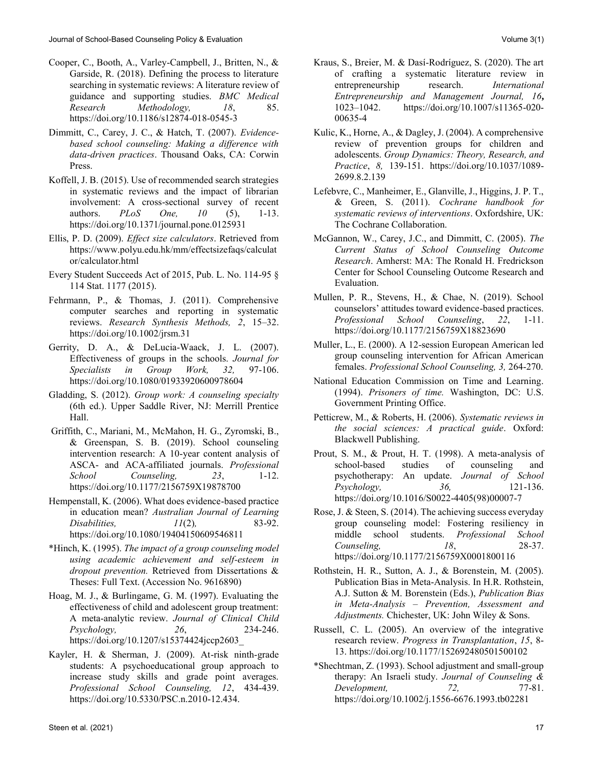- Cooper, C., Booth, A., Varley-Campbell, J., Britten, N., & Garside, R. (2018). Defining the process to literature searching in systematic reviews: A literature review of guidance and supporting studies. *BMC Medical Research Methodology, 18*, 85. <https://doi.org/10.1186/s12874-018-0545-3>
- Dimmitt, C., Carey, J. C., & Hatch, T. (2007). *Evidencebased school counseling: Making a difference with data-driven practices*. Thousand Oaks, CA: Corwin Press.
- Koffell, J. B. (2015). Use of recommended search strategies in systematic reviews and the impact of librarian involvement: A cross-sectional survey of recent authors. *PLoS One, 10* (5), 1-13. <https://doi.org/10.1371/journal.pone.0125931>
- Ellis, P. D. (2009). *Effect size calculators*. Retrieved from [https://www.polyu.edu.hk/mm/effectsizefaqs/calculat](https://www.polyu.edu.hk/mm/effectsizefaqs/calculator/calculator.html) [or/calculator.html](https://www.polyu.edu.hk/mm/effectsizefaqs/calculator/calculator.html)
- Every Student Succeeds Act of 2015, Pub. L. No. 114-95 § 114 Stat. 1177 (2015).
- Fehrmann, P., & Thomas, J. (2011). Comprehensive computer searches and reporting in systematic reviews. *Research Synthesis Methods, 2*, 15–32. <https://doi.org/10.1002/jrsm.31>
- Gerrity, D. A., & DeLucia-Waack, J. L. (2007). Effectiveness of groups in the schools. *Journal for Specialists in Group Work, 32,* 97-106. <https://doi.org/10.1080/01933920600978604>
- Gladding, S. (2012). *Group work: A counseling specialty*  (6th ed.). Upper Saddle River, NJ: Merrill Prentice Hall.
- Griffith, C., Mariani, M., McMahon, H. G., Zyromski, B., & Greenspan, S. B. (2019). School counseling intervention research: A 10-year content analysis of ASCA- and ACA-affiliated journals. *Professional School Counseling, 23*, 1-12. <https://doi.org/10.1177/2156759X19878700>
- Hempenstall, K. (2006). What does evidence-based practice in education mean? *Australian Journal of Learning Disabilities, 11*(2)*,* 83-92. <https://doi.org/10.1080/19404150609546811>
- \*Hinch, K. (1995). *The impact of a group counseling model using academic achievement and self-esteem in dropout prevention.* Retrieved from Dissertations & Theses: Full Text. (Accession No. 9616890)
- Hoag, M. J., & Burlingame, G. M. (1997). Evaluating the effectiveness of child and adolescent group treatment: A meta-analytic review. *Journal of Clinical Child Psychology, 26*, 234-246. [https://doi.org/10.1207/s15374424jccp2603\\_](https://doi.org/10.1207/s15374424jccp2603_)
- Kayler, H. & Sherman, J. (2009). At-risk ninth-grade students: A psychoeducational group approach to increase study skills and grade point averages. *Professional School Counseling, 12*, 434-439. [https://doi.org/10.5330/PSC.n.2010-12.434.](https://doi.org/10.5330/PSC.n.2010-12.434)
	-
- Kraus, S., Breier, M. & Dasí-Rodríguez, S. (2020). The art of crafting a systematic literature review in entrepreneurship research. *International Entrepreneurship and Management Journal, 16***,**  1023–1042. [https://doi.org/10.1007/s11365-020-](https://doi.org/10.1007/s11365-020-00635-4) [00635-4](https://doi.org/10.1007/s11365-020-00635-4)
- Kulic, K., Horne, A., & Dagley, J. (2004). A comprehensive review of prevention groups for children and adolescents. *Group Dynamics: Theory, Research, and Practice*, *8,* 139-151. [https://doi.org/10.1037/1089-](https://doi.org/10.1037/1089-2699.8.2.139) [2699.8.2.139](https://doi.org/10.1037/1089-2699.8.2.139)
- Lefebvre, C., Manheimer, E., Glanville, J., Higgins, J. P. T., & Green, S. (2011). *Cochrane handbook for systematic reviews of interventions*. Oxfordshire, UK: The Cochrane Collaboration.
- McGannon, W., Carey, J.C., and Dimmitt, C. (2005). *The Current Status of School Counseling Outcome Research*. Amherst: MA: The Ronald H. Fredrickson Center for School Counseling Outcome Research and Evaluation.
- Mullen, P. R., Stevens, H., & Chae, N. (2019). School counselors' attitudes toward evidence-based practices. *Professional School Counseling*, *22*, 1-11. <https://doi.org/10.1177/2156759X18823690>
- Muller, L., E. (2000). A 12-session European American led group counseling intervention for African American females. *Professional School Counseling, 3,* 264-270.
- National Education Commission on Time and Learning. (1994). *Prisoners of time.* Washington, DC: U.S. Government Printing Office.
- Petticrew, M., & Roberts, H. (2006). *Systematic reviews in the social sciences: A practical guide*. Oxford: Blackwell Publishing.
- Prout, S. M., & Prout, H. T. (1998). A meta-analysis of school-based studies of counseling and psychotherapy: An update. *Journal of School Psychology, 36,* 121-136. [https://doi.org/10.1016/S0022-4405\(98\)00007-7](https://doi.org/10.1016/S0022-4405(98)00007-7)
- Rose, J. & Steen, S. (2014). The achieving success everyday group counseling model: Fostering resiliency in middle school students. *Professional School Counseling, 18*, 28-37. <https://doi.org/10.1177/2156759X0001800116>
- Rothstein, H. R., Sutton, A. J., & Borenstein, M. (2005). Publication Bias in Meta-Analysis. In H.R. Rothstein, A.J. Sutton & M. Borenstein (Eds.), *Publication Bias in Meta-Analysis – Prevention, Assessment and Adjustments.* Chichester, UK: John Wiley & Sons.
- Russell, C. L. (2005). An overview of the integrative research review. *Progress in Transplantation*, *15*, 8- 13[. https://doi.org/10.1177/152692480501500102](https://doi.org/10.1177/152692480501500102)
- \*Shechtman, Z. (1993). School adjustment and small‐group therapy: An Israeli study. *Journal of Counseling & Development,* 72, 77-81. <https://doi.org/10.1002/j.1556-6676.1993.tb02281>